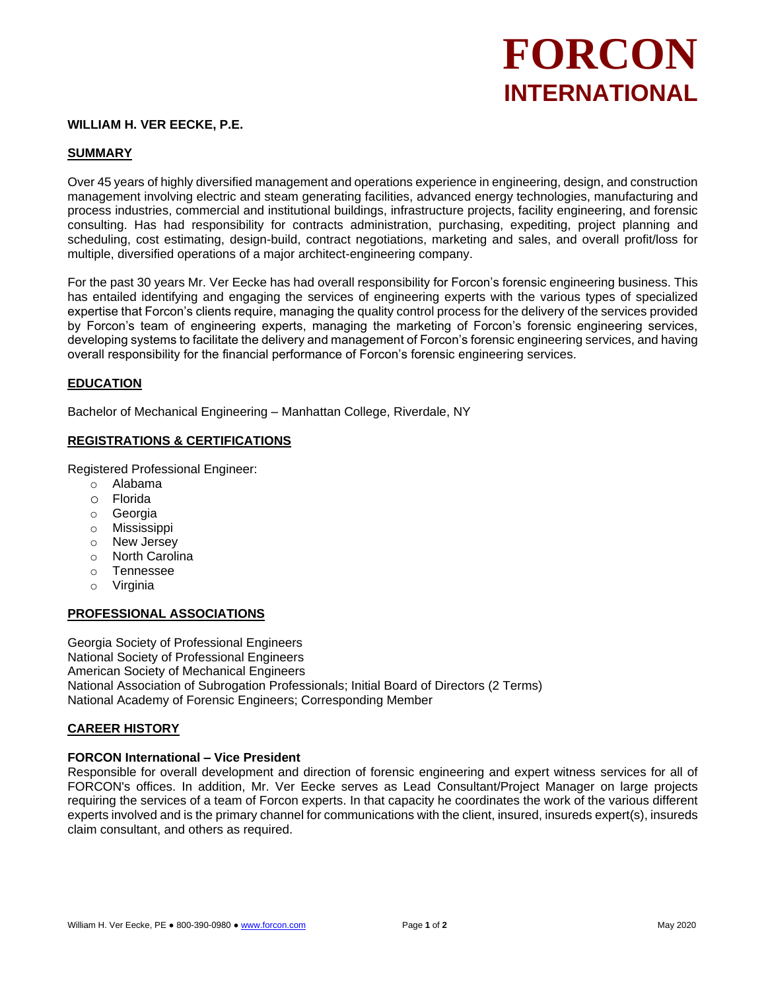# **FORCON INTERNATIONAL**

# **WILLIAM H. VER EECKE, P.E.**

#### **SUMMARY**

Over 45 years of highly diversified management and operations experience in engineering, design, and construction management involving electric and steam generating facilities, advanced energy technologies, manufacturing and process industries, commercial and institutional buildings, infrastructure projects, facility engineering, and forensic consulting. Has had responsibility for contracts administration, purchasing, expediting, project planning and scheduling, cost estimating, design-build, contract negotiations, marketing and sales, and overall profit/loss for multiple, diversified operations of a major architect-engineering company.

For the past 30 years Mr. Ver Eecke has had overall responsibility for Forcon's forensic engineering business. This has entailed identifying and engaging the services of engineering experts with the various types of specialized expertise that Forcon's clients require, managing the quality control process for the delivery of the services provided by Forcon's team of engineering experts, managing the marketing of Forcon's forensic engineering services, developing systems to facilitate the delivery and management of Forcon's forensic engineering services, and having overall responsibility for the financial performance of Forcon's forensic engineering services.

#### **EDUCATION**

Bachelor of Mechanical Engineering – Manhattan College, Riverdale, NY

#### **REGISTRATIONS & CERTIFICATIONS**

Registered Professional Engineer:

- o Alabama
- o Florida
- o Georgia
- o Mississippi
- o New Jersey
- o North Carolina
- o Tennessee
- o Virginia

## **PROFESSIONAL ASSOCIATIONS**

Georgia Society of Professional Engineers National Society of Professional Engineers American Society of Mechanical Engineers National Association of Subrogation Professionals; Initial Board of Directors (2 Terms) National Academy of Forensic Engineers; Corresponding Member

## **CAREER HISTORY**

#### **FORCON International – Vice President**

Responsible for overall development and direction of forensic engineering and expert witness services for all of FORCON's offices. In addition, Mr. Ver Eecke serves as Lead Consultant/Project Manager on large projects requiring the services of a team of Forcon experts. In that capacity he coordinates the work of the various different experts involved and is the primary channel for communications with the client, insured, insureds expert(s), insureds claim consultant, and others as required.